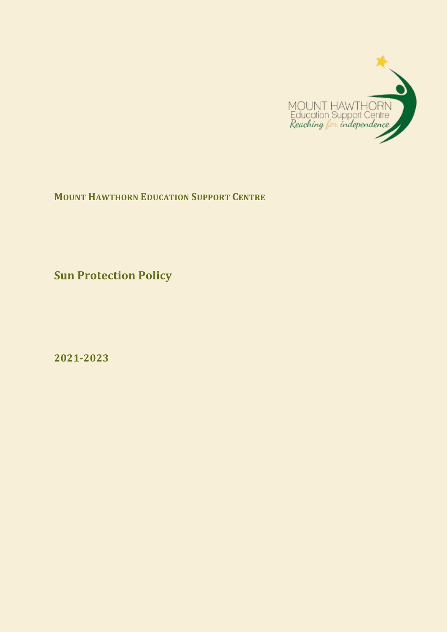

**MOUNT HAWTHORN EDUCATION SUPPORT CENTRE**

**Sun Protection Policy**

**2021-2023**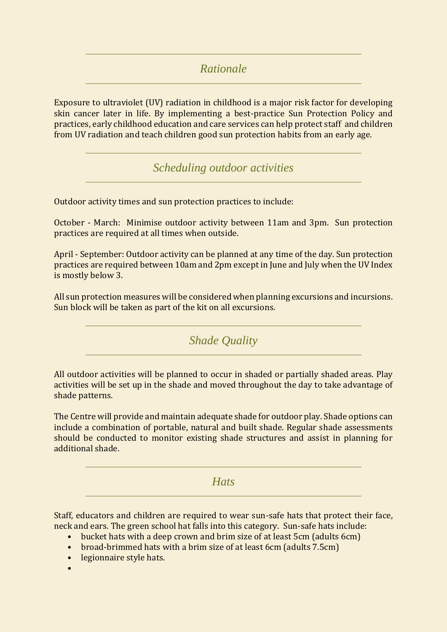*Rationale* 

Exposure to ultraviolet (UV) radiation in childhood is a major risk factor for developing skin cancer later in life. By implementing a best-practice Sun Protection Policy and practices, early childhood education and care services can help protect staff and children from UV radiation and teach children good sun protection habits from an early age.

*Scheduling outdoor activities* 

Outdoor activity times and sun protection practices to include:

October - March: Minimise outdoor activity between 11am and 3pm. Sun protection practices are required at all times when outside.

April - September: Outdoor activity can be planned at any time of the day. Sun protection practices are required between 10am and 2pm except in June and July when the UV Index is mostly below 3.

All sun protection measures will be considered when planning excursions and incursions. Sun block will be taken as part of the kit on all excursions.

*Shade Quality* 

All outdoor activities will be planned to occur in shaded or partially shaded areas. Play activities will be set up in the shade and moved throughout the day to take advantage of shade patterns.

The Centre will provide and maintain adequate shade for outdoor play. Shade options can include a combination of portable, natural and built shade. Regular shade assessments should be conducted to monitor existing shade structures and assist in planning for additional shade.

*Hats* 

Staff, educators and children are required to wear sun-safe hats that protect their face, neck and ears. The green school hat falls into this category. Sun-safe hats include:

- bucket hats with a deep crown and brim size of at least 5cm (adults 6cm)
- broad-brimmed hats with a brim size of at least 6cm (adults 7.5cm)
- legionnaire style hats.
- •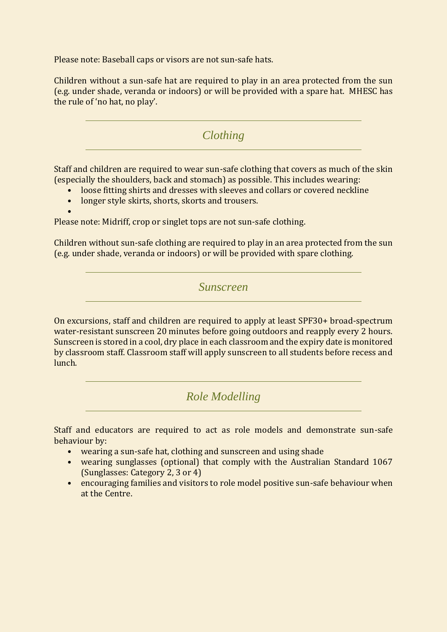Please note: Baseball caps or visors are not sun-safe hats.

Children without a sun-safe hat are required to play in an area protected from the sun (e.g. under shade, veranda or indoors) or will be provided with a spare hat. MHESC has the rule of 'no hat, no play'.

*Clothing* 

Staff and children are required to wear sun-safe clothing that covers as much of the skin (especially the shoulders, back and stomach) as possible. This includes wearing:

- loose fitting shirts and dresses with sleeves and collars or covered neckline
- longer style skirts, shorts, skorts and trousers.

•

Please note: Midriff, crop or singlet tops are not sun-safe clothing.

Children without sun-safe clothing are required to play in an area protected from the sun (e.g. under shade, veranda or indoors) or will be provided with spare clothing.

*Sunscreen* 

On excursions, staff and children are required to apply at least SPF30+ broad-spectrum water-resistant sunscreen 20 minutes before going outdoors and reapply every 2 hours. Sunscreen is stored in a cool, dry place in each classroom and the expiry date is monitored by classroom staff. Classroom staff will apply sunscreen to all students before recess and lunch.

*Role Modelling* 

Staff and educators are required to act as role models and demonstrate sun-safe behaviour by:

- wearing a sun-safe hat, clothing and sunscreen and using shade
- wearing sunglasses (optional) that comply with the Australian Standard 1067 (Sunglasses: Category 2, 3 or 4)
- encouraging families and visitors to role model positive sun-safe behaviour when at the Centre.